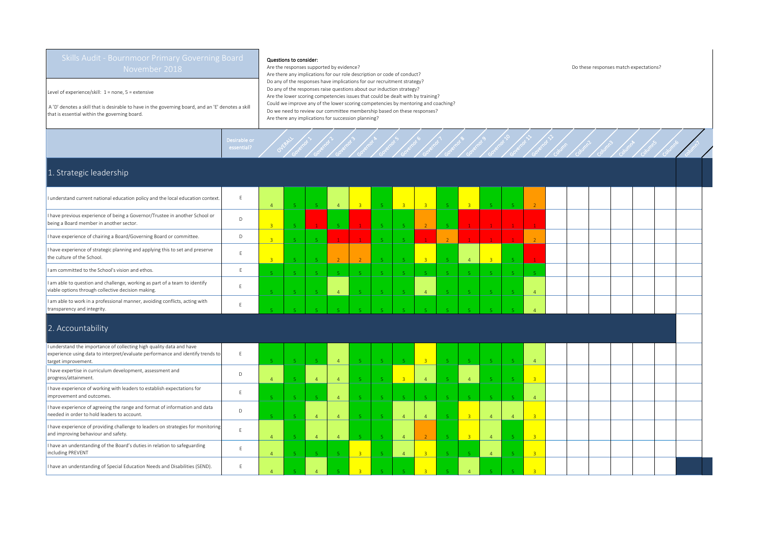Level of experience/skill: 1 = none, 5 = extensive

 A 'D' denotes a skill that is desirable to have in the governing board, and an 'E' denotes a skill that is essential within the governing board.

## Questions to consider:

Governor >

Governor 2

Governor 3

Desirable or<br>essential? Overall

Are the responses supported by evidence? Do these responses match expectations? Are there any implications for our role description or code of conduct? Do any of the responses have implications for our recruitment strategy? Do any of the responses raise questions about our induction strategy? Are the lower scoring competencies issues that could be dealt with by training? Could we improve any of the lower scoring competencies by mentoring and coaching? Do we need to review our committee membership based on these responses? Are there any implications for succession planning?

Governor &

Governor 5

Governor 6

Governor 7

Governor B

Governor 9

Governor 10

Governor 11

Governor 12

Column

Column2

Column3

Column4

Columns

Column6

Column 7

## 1. Strategic leadership

| I understand current national education policy and the local education context.                                                                                                        | F            |                |  | $\overline{4}$ | <b>B</b> | -5 -           | $-3$ | 3 <sup>1</sup> | 3 <sup>o</sup> |                | -51 |  |  |  |  |
|----------------------------------------------------------------------------------------------------------------------------------------------------------------------------------------|--------------|----------------|--|----------------|----------|----------------|------|----------------|----------------|----------------|-----|--|--|--|--|
| I have previous experience of being a Governor/Trustee in another School or<br>being a Board member in another sector.                                                                 | $\mathsf{D}$ |                |  | <b>E</b>       |          | 5              |      | $\overline{2}$ | $\mathbf{1}$   |                |     |  |  |  |  |
| I have experience of chairing a Board/Governing Board or committee.                                                                                                                    | D            |                |  |                |          | $\overline{5}$ |      | $\mathbf{1}$   | $\mathbf{1}$   |                |     |  |  |  |  |
| I have experience of strategic planning and applying this to set and preserve<br>the culture of the School.                                                                            | F            | $\overline{3}$ |  | $\overline{2}$ |          | 5              |      | $\overline{3}$ | $\overline{4}$ | $\overline{3}$ |     |  |  |  |  |
| I am committed to the School's vision and ethos.                                                                                                                                       |              |                |  |                |          | -5             |      | 5.             | 5 <sup>1</sup> |                |     |  |  |  |  |
| I am able to question and challenge, working as part of a team to identify<br>viable options through collective decision making.                                                       |              |                |  | $\overline{4}$ |          | -5             |      | $\overline{4}$ | 5.             |                |     |  |  |  |  |
| I am able to work in a professional manner, avoiding conflicts, acting with<br>transparency and integrity.                                                                             |              |                |  |                |          |                |      |                |                |                |     |  |  |  |  |
| 2. Accountability                                                                                                                                                                      |              |                |  |                |          |                |      |                |                |                |     |  |  |  |  |
| I understand the importance of collecting high quality data and have<br>l compostance en cette a struir de trademondativo troba en la calcamenta de la statuta de la calca de de la ci | $\mathbf{r}$ |                |  |                |          |                |      |                |                |                |     |  |  |  |  |

| I understand the importance of collecting high quality data and have<br>experience using data to interpret/evaluate performance and identify trends to<br>target improvement. |  |  |  | -5 |  |  |  |  |  |  |  |
|-------------------------------------------------------------------------------------------------------------------------------------------------------------------------------|--|--|--|----|--|--|--|--|--|--|--|
| I have expertise in curriculum development, assessment and<br>progress/attainment.                                                                                            |  |  |  |    |  |  |  |  |  |  |  |
| I have experience of working with leaders to establish expectations for<br>improvement and outcomes.                                                                          |  |  |  |    |  |  |  |  |  |  |  |
| I have experience of agreeing the range and format of information and data<br>needed in order to hold leaders to account.                                                     |  |  |  |    |  |  |  |  |  |  |  |
| I have experience of providing challenge to leaders on strategies for monitoring<br>and improving behaviour and safety.                                                       |  |  |  |    |  |  |  |  |  |  |  |
| I have an understanding of the Board's duties in relation to safeguarding<br>including PREVENT                                                                                |  |  |  |    |  |  |  |  |  |  |  |
| I have an understanding of Special Education Needs and Disabilities (SEND).                                                                                                   |  |  |  |    |  |  |  |  |  |  |  |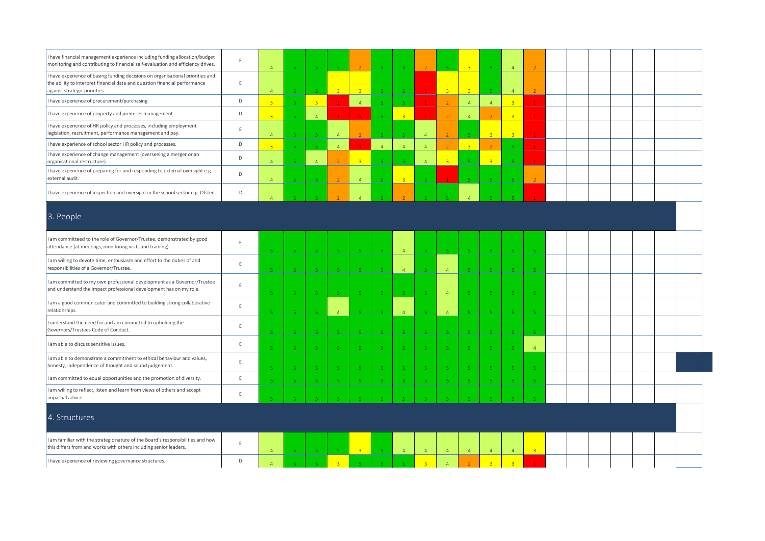| I have financial management experience including funding allocation/budget<br>monitoring and contributing to financial self-evaluation and efficiency drives.                                 | E           | $\overline{4}$ | $\overline{5}$          | -5.                     | -51                         |                |                             | $-5$           | $\mathcal{L}$            | $\mathbf{r}_i$ | $\overline{z}$ | $\overline{5}$ | $\overline{4}$ |                |  |  |  |  |
|-----------------------------------------------------------------------------------------------------------------------------------------------------------------------------------------------|-------------|----------------|-------------------------|-------------------------|-----------------------------|----------------|-----------------------------|----------------|--------------------------|----------------|----------------|----------------|----------------|----------------|--|--|--|--|
| I have experience of basing funding decisions on organisational priorities and<br>the ability to interpret financial data and question financial performance<br>against strategic priorities. | $\mathsf E$ | $\overline{a}$ | $\sqrt{5}$              |                         | 3 <sup>°</sup>              | $\overline{3}$ |                             |                |                          | $\overline{3}$ | $\overline{3}$ | $\overline{5}$ | $\overline{4}$ |                |  |  |  |  |
| I have experience of procurement/purchasing.                                                                                                                                                  | $\mathsf D$ | $\overline{R}$ | $\overline{5}$          | $\overline{3}$          |                             | $\overline{4}$ |                             | $\overline{5}$ |                          | $\overline{z}$ | $\overline{4}$ | $\overline{4}$ | $\overline{3}$ |                |  |  |  |  |
| I have experience of property and premises management.                                                                                                                                        | D           |                | 5                       | $\overline{4}$          |                             |                |                             | $\overline{3}$ |                          |                | $\overline{4}$ |                | $\overline{3}$ |                |  |  |  |  |
| I have experience of HR policy and processes, including employment<br>legislation, recruitment, performance management and pay.                                                               | E           | $\overline{4}$ | $5^{\circ}$             | -5.                     | $\overline{4}$              |                | $\mathbf{r}_\mathrm{c}$     | -51            | $\overline{4}$           | $\overline{z}$ | -5             | $\overline{3}$ | $\overline{3}$ | $\mathbf{1}$   |  |  |  |  |
| I have experience of school sector HR policy and processes.                                                                                                                                   | $\mathsf D$ | $\overline{3}$ | $\mathsf S$             | $\overline{5}$          | $\overline{4}$              |                | $\overline{4}$              | $\overline{4}$ | $\overline{4}$           | $\overline{2}$ | 3 <sup>°</sup> | $\overline{2}$ |                |                |  |  |  |  |
| I have experience of change management (overseeing a merger or an<br>organisational restructure).                                                                                             | D           | $\overline{a}$ | 5 <sub>1</sub>          | $\overline{4}$          |                             | $\overline{R}$ |                             |                | $\overline{4}$           | $\overline{3}$ |                | $\overline{3}$ |                |                |  |  |  |  |
| I have experience of preparing for and responding to external oversight e.g.<br>external audit.                                                                                               | $\mathsf D$ | $\overline{4}$ | $\mathbf{r}_\mathrm{c}$ |                         | $\overline{2}$              | $\overline{4}$ |                             | $\mathbb{R}$   |                          |                |                | $\overline{5}$ |                | $\overline{2}$ |  |  |  |  |
| I have experience of inspection and oversight in the school sector e.g. Ofsted.                                                                                                               | D           |                |                         |                         |                             |                |                             |                |                          |                |                |                |                |                |  |  |  |  |
| 3. People                                                                                                                                                                                     |             |                |                         |                         |                             |                |                             |                |                          |                |                |                |                |                |  |  |  |  |
| am committeed to the role of Governor/Trustee, demonstrated by good<br>attendance (at meetings, monitoring visits and training)                                                               | E           |                | 5 <sub>1</sub>          | -5                      | $\sqrt{5}$                  | -5             | $\overline{5}$              | $\overline{4}$ | 5 <sub>o</sub>           | $\overline{5}$ | $\sqrt{5}$     | $\,$ 5 $\,$    |                | 5 <sub>1</sub> |  |  |  |  |
| I am willing to devote time, enthusiasm and effort to the duties of and<br>responsibilities of a Governor/Trustee.                                                                            | $\mathsf E$ |                | -5                      | -5                      | $-5$                        | -5.            |                             | $\overline{4}$ | -5                       | $\overline{4}$ | -5             | $\sqrt{5}$     |                | -5             |  |  |  |  |
| am committed to my own professional development as a Governor/Trustee<br>and understand the impact professional development has on my role.                                                   | E           |                | $\overline{5}$          | -5                      | -51                         |                |                             | -51            |                          | $\overline{4}$ |                | $\sqrt{5}$     |                | 5              |  |  |  |  |
| I am a good communicator and committed to building strong collaborative<br>relationships.                                                                                                     | $\mathsf E$ |                | $\mathbf{r}_i$          | $\mathbf{E}$            | $\overline{4}$              |                |                             | $\overline{4}$ |                          | $\overline{A}$ |                | -5.            |                |                |  |  |  |  |
| understand the need for and am committed to upholding the<br>Governors/Trustees Code of Conduct.                                                                                              | $\mathsf E$ |                | $\mathbf{r}_i$          |                         | -5.                         |                |                             | - 5            | $\overline{\phantom{a}}$ | $\overline{5}$ |                | -5             |                | $\mathbb{R}^+$ |  |  |  |  |
| I am able to discuss sensitive issues.                                                                                                                                                        | E           |                | $\mathbf{r}_i$          | $\overline{\mathbf{5}}$ | $-5$                        |                |                             | -51            | $\overline{\mathbf{5}}$  | -5             | -5             | $\overline{5}$ |                | $\overline{4}$ |  |  |  |  |
| I am able to demonstrate a commitment to ethical behaviour and values,<br>honesty, independence of thought and sound judgement.                                                               | E           |                | $\mathbf{r}_i$          |                         | $\mathcal{L}_{\mathcal{A}}$ |                |                             |                |                          |                |                | $\sqrt{5}$     |                |                |  |  |  |  |
| I am committed to equal opportunities and the promotion of diversity.                                                                                                                         | E           |                | $5^{\circ}$             | -5                      | $\sqrt{5}$                  | $\sqrt{5}$     |                             | $\sqrt{5}$     | -5                       | -5             | $\overline{5}$ | $\sqrt{5}$     |                | $\sqrt{5}$     |  |  |  |  |
| I am willing to reflect, listen and learn from views of others and accept<br>impartial advice.                                                                                                | $\mathsf E$ |                |                         |                         |                             |                |                             |                |                          |                |                |                |                |                |  |  |  |  |
| 4. Structures                                                                                                                                                                                 |             |                |                         |                         |                             |                |                             |                |                          |                |                |                |                |                |  |  |  |  |
| I am familiar with the strategic nature of the Board's responsibilities and how<br>this differs from and works with others including senior leaders.                                          | E           | $\overline{4}$ | -51                     | -5.                     | -51                         | $\overline{3}$ | $\mathcal{L}_{\mathcal{A}}$ | $-4$           | $\overline{4}$           | $\overline{4}$ | $\overline{4}$ | $\overline{4}$ | $\overline{4}$ | $\overline{3}$ |  |  |  |  |
| I have experience of reviewing governance structures.                                                                                                                                         | D           | $\overline{a}$ | $\mathbf{r}_i$          | $\mathbf{r}_i$          | $\overline{3}$              |                |                             |                | $\overline{3}$           | $\overline{4}$ | $\overline{2}$ | $\overline{3}$ | $\overline{3}$ | $\mathbf{1}$   |  |  |  |  |